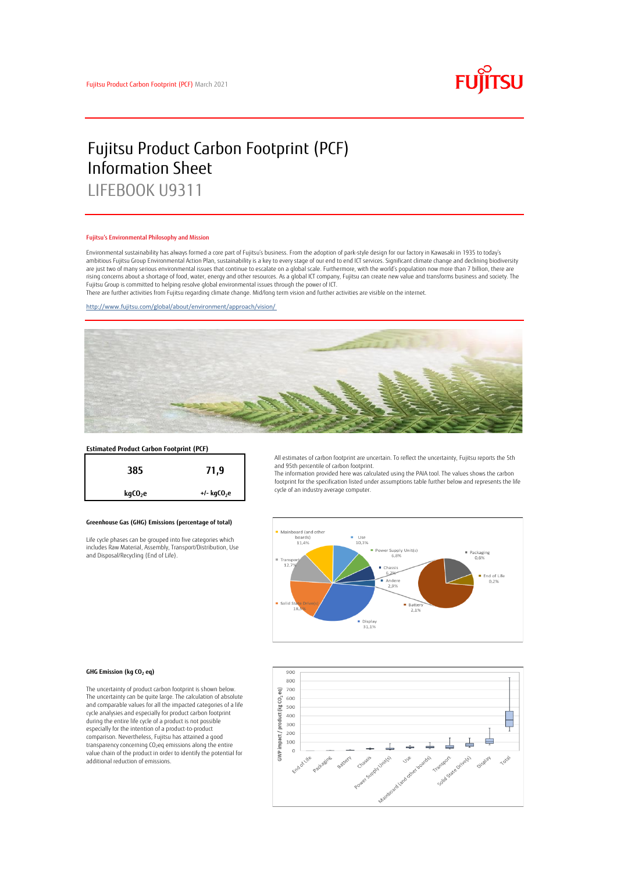

# Fujitsu Product Carbon Footprint (PCF) Information Sheet LIFEBOOK U9311

#### Fujitsu's Environmental Philosophy and Mission

Environmental sustainability has always formed a core part of Fujitsu's business. From the adoption of park-style design for our factory in Kawasaki in 1935 to today's ambitious Fujitsu Group Environmental Action Plan, sustainability is a key to every stage of our end to end ICT services. Significant climate change and declining biodiversity are just two of many serious environmental issues that continue to escalate on a global scale. Furthermore, with the world's population now more than 7 billion, there are<br>rising concerns about a shortage of food, water, en Fujitsu Group is committed to helping resolve global environmental issues through the power of ICT.

There are further activities from Fujitsu regarding climate change. Mid/long term vision and further activities are visible on the internet.

<http://www.fujitsu.com/global/about/environment/approach/vision/>



# **Estimated Product Carbon Footprint (PCF)**



### **Greenhouse Gas (GHG) Emissions (percentage of total)**

Life cycle phases can be grouped into five categories which includes Raw Material, Assembly, Transport/Distribution, Use and Disposal/Recycling (End of Life).

All estimates of carbon footprint are uncertain. To reflect the uncertainty, Fujitsu reports the 5th and 95th percentile of carbon footprint.

The information provided here was calculated using the PAIA tool. The values shows the carbon footprint for the specification listed under assumptions table further below and represents the life cycle of an industry average computer.



#### **GHG Emission (kg CO<sup>2</sup> eq)**

The uncertainty of product carbon footprint is shown below. The uncertainty can be quite large. The calculation of absolute and comparable values for all the impacted categories of a life cycle analysies and especially for product carbon footprint during the entire life cycle of a product is not possible especially for the intention of a product-to-product comparison. Nevertheless, Fujitsu has attained a good transparency concerning CO2eq emissions along the entire value chain of the product in order to identify the potential for additional reduction of emissions.